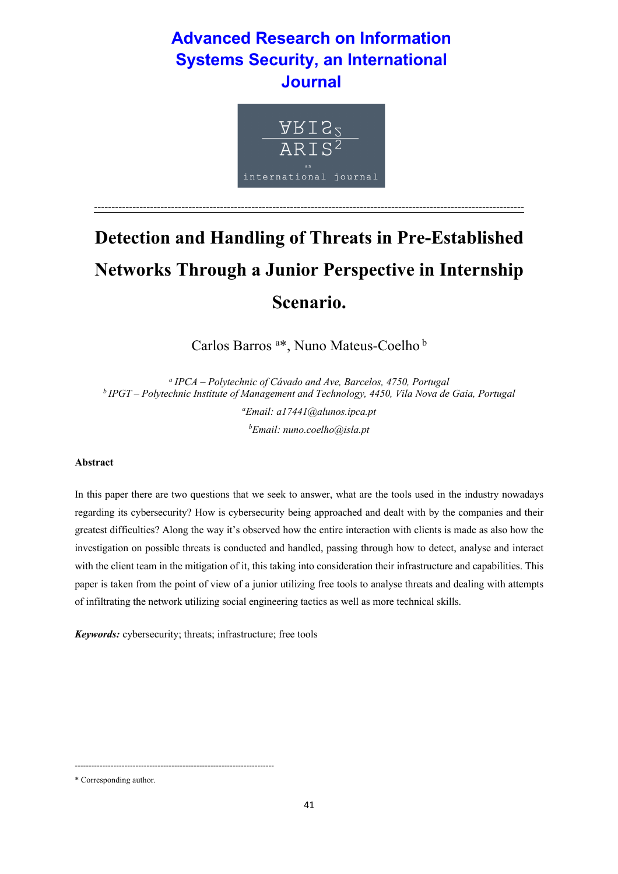# **Advanced Research on Information Systems Security, an International Journal**



# **Detection and Handling of Threats in Pre-Established Networks Through a Junior Perspective in Internship Scenario.**

---------------------------------------------------------------------------------------------------------------------------

Carlos Barros <sup>a\*</sup>, Nuno Mateus-Coelho<sup>b</sup>

*<sup>a</sup> IPCA – Polytechnic of Cávado and Ave, Barcelos, 4750, Portugal <sup>b</sup> IPGT – Polytechnic Institute of Management and Technology, 4450, Vila Nova de Gaia, Portugal*

> *a Email: a17441@alunos.ipca.pt b Email: nuno.coelho@isla.pt*

# **Abstract**

In this paper there are two questions that we seek to answer, what are the tools used in the industry nowadays regarding its cybersecurity? How is cybersecurity being approached and dealt with by the companies and their greatest difficulties? Along the way it's observed how the entire interaction with clients is made as also how the investigation on possible threats is conducted and handled, passing through how to detect, analyse and interact with the client team in the mitigation of it, this taking into consideration their infrastructure and capabilities. This paper is taken from the point of view of a junior utilizing free tools to analyse threats and dealing with attempts of infiltrating the network utilizing social engineering tactics as well as more technical skills.

*Keywords:* cybersecurity; threats; infrastructure; free tools

------------------------------------------------------------------------

<sup>\*</sup> Corresponding author.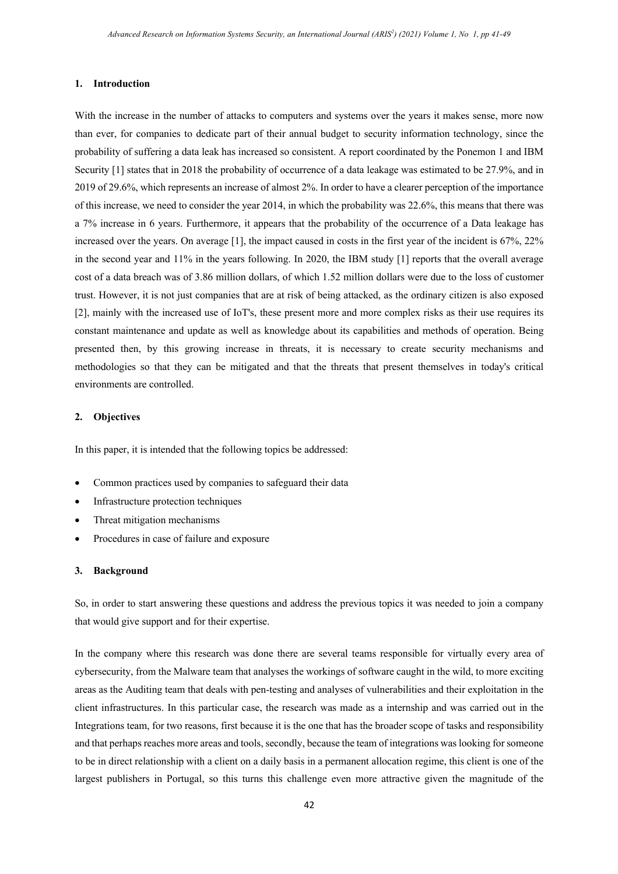#### **1. Introduction**

With the increase in the number of attacks to computers and systems over the years it makes sense, more now than ever, for companies to dedicate part of their annual budget to security information technology, since the probability of suffering a data leak has increased so consistent. A report coordinated by the Ponemon 1 and IBM Security [1] states that in 2018 the probability of occurrence of a data leakage was estimated to be 27.9%, and in 2019 of 29.6%, which represents an increase of almost 2%. In order to have a clearer perception of the importance of this increase, we need to consider the year 2014, in which the probability was 22.6%, this means that there was a 7% increase in 6 years. Furthermore, it appears that the probability of the occurrence of a Data leakage has increased over the years. On average [1], the impact caused in costs in the first year of the incident is 67%, 22% in the second year and 11% in the years following. In 2020, the IBM study [1] reports that the overall average cost of a data breach was of 3.86 million dollars, of which 1.52 million dollars were due to the loss of customer trust. However, it is not just companies that are at risk of being attacked, as the ordinary citizen is also exposed [2], mainly with the increased use of IoT's, these present more and more complex risks as their use requires its constant maintenance and update as well as knowledge about its capabilities and methods of operation. Being presented then, by this growing increase in threats, it is necessary to create security mechanisms and methodologies so that they can be mitigated and that the threats that present themselves in today's critical environments are controlled.

# **2. Objectives**

In this paper, it is intended that the following topics be addressed:

- Common practices used by companies to safeguard their data
- Infrastructure protection techniques
- Threat mitigation mechanisms
- Procedures in case of failure and exposure

#### **3. Background**

So, in order to start answering these questions and address the previous topics it was needed to join a company that would give support and for their expertise.

In the company where this research was done there are several teams responsible for virtually every area of cybersecurity, from the Malware team that analyses the workings of software caught in the wild, to more exciting areas as the Auditing team that deals with pen-testing and analyses of vulnerabilities and their exploitation in the client infrastructures. In this particular case, the research was made as a internship and was carried out in the Integrations team, for two reasons, first because it is the one that has the broader scope of tasks and responsibility and that perhaps reaches more areas and tools, secondly, because the team of integrations was looking for someone to be in direct relationship with a client on a daily basis in a permanent allocation regime, this client is one of the largest publishers in Portugal, so this turns this challenge even more attractive given the magnitude of the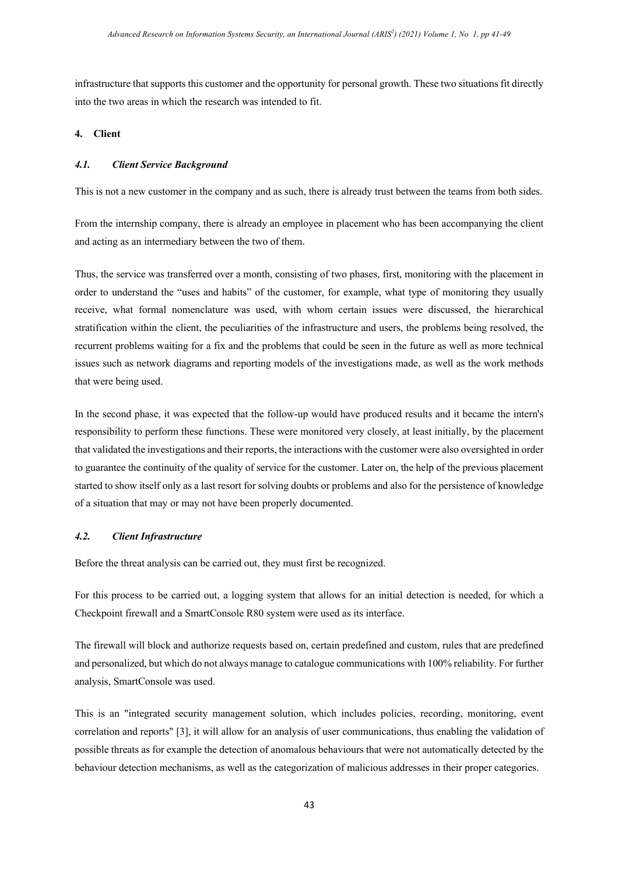infrastructure that supports this customer and the opportunity for personal growth. These two situations fit directly into the two areas in which the research was intended to fit.

#### **4. Client**

# *4.1. Client Service Background*

This is not a new customer in the company and as such, there is already trust between the teams from both sides.

From the internship company, there is already an employee in placement who has been accompanying the client and acting as an intermediary between the two of them.

Thus, the service was transferred over a month, consisting of two phases, first, monitoring with the placement in order to understand the "uses and habits" of the customer, for example, what type of monitoring they usually receive, what formal nomenclature was used, with whom certain issues were discussed, the hierarchical stratification within the client, the peculiarities of the infrastructure and users, the problems being resolved, the recurrent problems waiting for a fix and the problems that could be seen in the future as well as more technical issues such as network diagrams and reporting models of the investigations made, as well as the work methods that were being used.

In the second phase, it was expected that the follow-up would have produced results and it became the intern's responsibility to perform these functions. These were monitored very closely, at least initially, by the placement that validated the investigations and their reports, the interactions with the customer were also oversighted in order to guarantee the continuity of the quality of service for the customer. Later on, the help of the previous placement started to show itself only as a last resort for solving doubts or problems and also for the persistence of knowledge of a situation that may or may not have been properly documented.

#### *4.2. Client Infrastructure*

Before the threat analysis can be carried out, they must first be recognized.

For this process to be carried out, a logging system that allows for an initial detection is needed, for which a Checkpoint firewall and a SmartConsole R80 system were used as its interface.

The firewall will block and authorize requests based on, certain predefined and custom, rules that are predefined and personalized, but which do not always manage to catalogue communications with 100% reliability. For further analysis, SmartConsole was used.

This is an "integrated security management solution, which includes policies, recording, monitoring, event correlation and reports" [3], it will allow for an analysis of user communications, thus enabling the validation of possible threats as for example the detection of anomalous behaviours that were not automatically detected by the behaviour detection mechanisms, as well as the categorization of malicious addresses in their proper categories.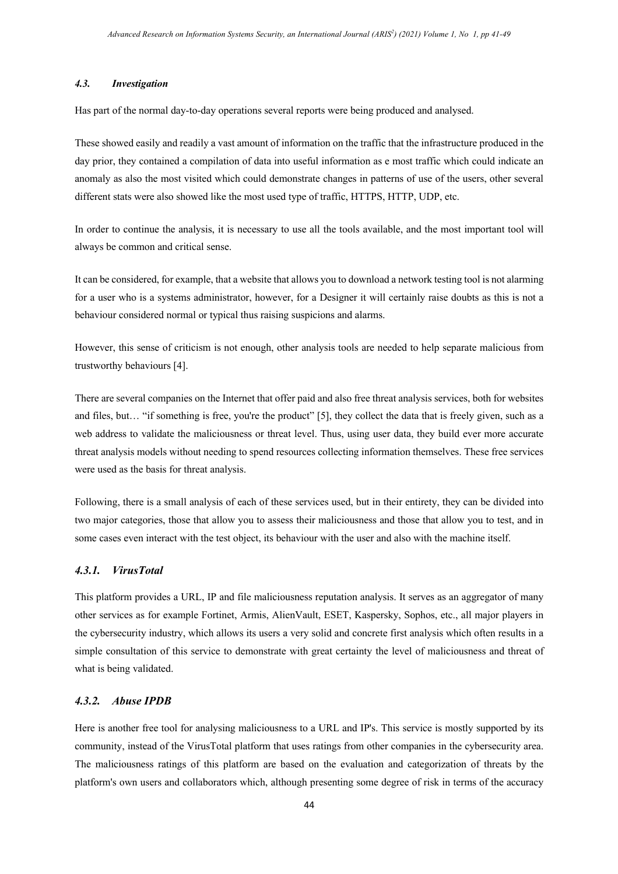#### *4.3. Investigation*

Has part of the normal day-to-day operations several reports were being produced and analysed.

These showed easily and readily a vast amount of information on the traffic that the infrastructure produced in the day prior, they contained a compilation of data into useful information as e most traffic which could indicate an anomaly as also the most visited which could demonstrate changes in patterns of use of the users, other several different stats were also showed like the most used type of traffic, HTTPS, HTTP, UDP, etc.

In order to continue the analysis, it is necessary to use all the tools available, and the most important tool will always be common and critical sense.

It can be considered, for example, that a website that allows you to download a network testing tool is not alarming for a user who is a systems administrator, however, for a Designer it will certainly raise doubts as this is not a behaviour considered normal or typical thus raising suspicions and alarms.

However, this sense of criticism is not enough, other analysis tools are needed to help separate malicious from trustworthy behaviours [4].

There are several companies on the Internet that offer paid and also free threat analysis services, both for websites and files, but... "if something is free, you're the product" [5], they collect the data that is freely given, such as a web address to validate the maliciousness or threat level. Thus, using user data, they build ever more accurate threat analysis models without needing to spend resources collecting information themselves. These free services were used as the basis for threat analysis.

Following, there is a small analysis of each of these services used, but in their entirety, they can be divided into two major categories, those that allow you to assess their maliciousness and those that allow you to test, and in some cases even interact with the test object, its behaviour with the user and also with the machine itself.

# *4.3.1. VirusTotal*

This platform provides a URL, IP and file maliciousness reputation analysis. It serves as an aggregator of many other services as for example Fortinet, Armis, AlienVault, ESET, Kaspersky, Sophos, etc., all major players in the cybersecurity industry, which allows its users a very solid and concrete first analysis which often results in a simple consultation of this service to demonstrate with great certainty the level of maliciousness and threat of what is being validated.

# *4.3.2. Abuse IPDB*

Here is another free tool for analysing maliciousness to a URL and IP's. This service is mostly supported by its community, instead of the VirusTotal platform that uses ratings from other companies in the cybersecurity area. The maliciousness ratings of this platform are based on the evaluation and categorization of threats by the platform's own users and collaborators which, although presenting some degree of risk in terms of the accuracy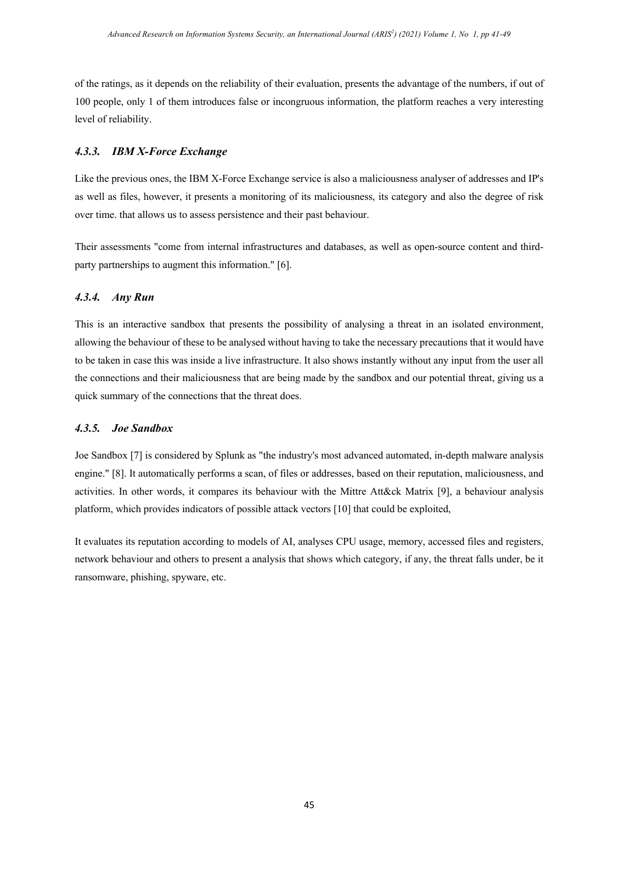of the ratings, as it depends on the reliability of their evaluation, presents the advantage of the numbers, if out of 100 people, only 1 of them introduces false or incongruous information, the platform reaches a very interesting level of reliability.

# *4.3.3. IBM X-Force Exchange*

Like the previous ones, the IBM X-Force Exchange service is also a maliciousness analyser of addresses and IP's as well as files, however, it presents a monitoring of its maliciousness, its category and also the degree of risk over time. that allows us to assess persistence and their past behaviour.

Their assessments "come from internal infrastructures and databases, as well as open-source content and thirdparty partnerships to augment this information." [6].

# *4.3.4. Any Run*

This is an interactive sandbox that presents the possibility of analysing a threat in an isolated environment, allowing the behaviour of these to be analysed without having to take the necessary precautions that it would have to be taken in case this was inside a live infrastructure. It also shows instantly without any input from the user all the connections and their maliciousness that are being made by the sandbox and our potential threat, giving us a quick summary of the connections that the threat does.

#### *4.3.5. Joe Sandbox*

Joe Sandbox [7] is considered by Splunk as "the industry's most advanced automated, in-depth malware analysis engine." [8]. It automatically performs a scan, of files or addresses, based on their reputation, maliciousness, and activities. In other words, it compares its behaviour with the Mittre Att&ck Matrix [9], a behaviour analysis platform, which provides indicators of possible attack vectors [10] that could be exploited,

It evaluates its reputation according to models of AI, analyses CPU usage, memory, accessed files and registers, network behaviour and others to present a analysis that shows which category, if any, the threat falls under, be it ransomware, phishing, spyware, etc.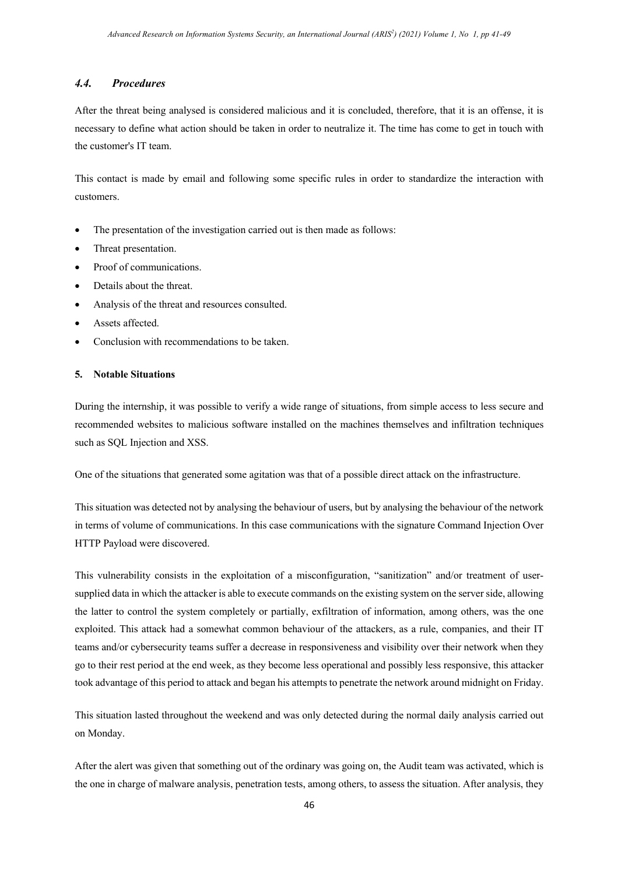# *4.4. Procedures*

After the threat being analysed is considered malicious and it is concluded, therefore, that it is an offense, it is necessary to define what action should be taken in order to neutralize it. The time has come to get in touch with the customer's IT team.

This contact is made by email and following some specific rules in order to standardize the interaction with customers.

- The presentation of the investigation carried out is then made as follows:
- Threat presentation.
- Proof of communications.
- Details about the threat.
- Analysis of the threat and resources consulted.
- Assets affected.
- Conclusion with recommendations to be taken.

#### **5. Notable Situations**

During the internship, it was possible to verify a wide range of situations, from simple access to less secure and recommended websites to malicious software installed on the machines themselves and infiltration techniques such as SQL Injection and XSS.

One of the situations that generated some agitation was that of a possible direct attack on the infrastructure.

This situation was detected not by analysing the behaviour of users, but by analysing the behaviour of the network in terms of volume of communications. In this case communications with the signature Command Injection Over HTTP Payload were discovered.

This vulnerability consists in the exploitation of a misconfiguration, "sanitization" and/or treatment of usersupplied data in which the attacker is able to execute commands on the existing system on the server side, allowing the latter to control the system completely or partially, exfiltration of information, among others, was the one exploited. This attack had a somewhat common behaviour of the attackers, as a rule, companies, and their IT teams and/or cybersecurity teams suffer a decrease in responsiveness and visibility over their network when they go to their rest period at the end week, as they become less operational and possibly less responsive, this attacker took advantage of this period to attack and began his attempts to penetrate the network around midnight on Friday.

This situation lasted throughout the weekend and was only detected during the normal daily analysis carried out on Monday.

After the alert was given that something out of the ordinary was going on, the Audit team was activated, which is the one in charge of malware analysis, penetration tests, among others, to assess the situation. After analysis, they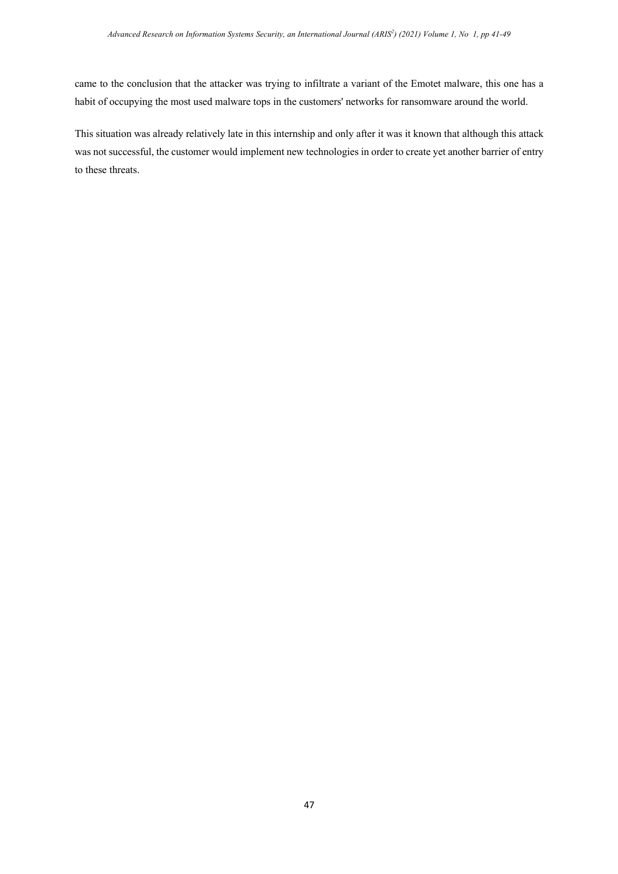came to the conclusion that the attacker was trying to infiltrate a variant of the Emotet malware, this one has a habit of occupying the most used malware tops in the customers' networks for ransomware around the world.

This situation was already relatively late in this internship and only after it was it known that although this attack was not successful, the customer would implement new technologies in order to create yet another barrier of entry to these threats.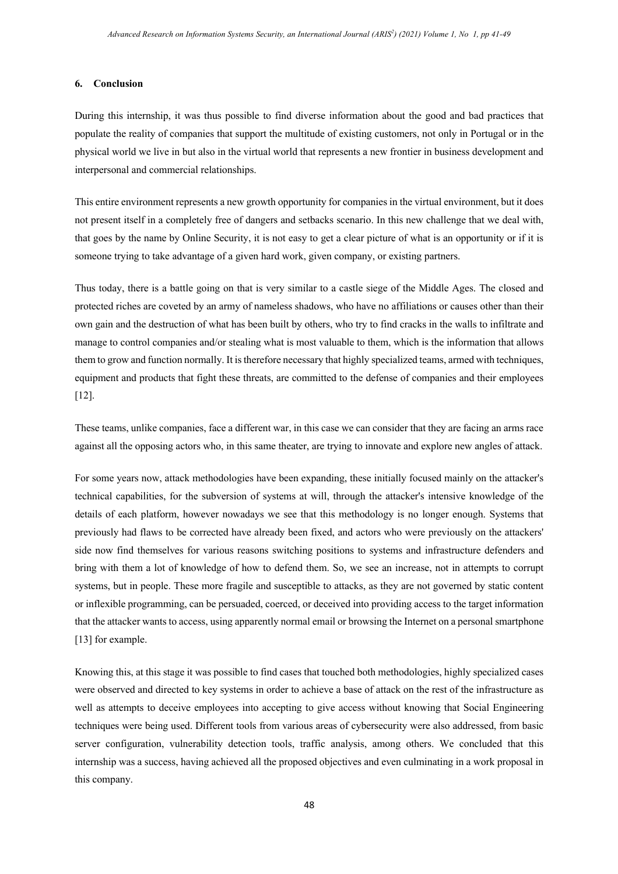#### **6. Conclusion**

During this internship, it was thus possible to find diverse information about the good and bad practices that populate the reality of companies that support the multitude of existing customers, not only in Portugal or in the physical world we live in but also in the virtual world that represents a new frontier in business development and interpersonal and commercial relationships.

This entire environment represents a new growth opportunity for companies in the virtual environment, but it does not present itself in a completely free of dangers and setbacks scenario. In this new challenge that we deal with, that goes by the name by Online Security, it is not easy to get a clear picture of what is an opportunity or if it is someone trying to take advantage of a given hard work, given company, or existing partners.

Thus today, there is a battle going on that is very similar to a castle siege of the Middle Ages. The closed and protected riches are coveted by an army of nameless shadows, who have no affiliations or causes other than their own gain and the destruction of what has been built by others, who try to find cracks in the walls to infiltrate and manage to control companies and/or stealing what is most valuable to them, which is the information that allows them to grow and function normally. It is therefore necessary that highly specialized teams, armed with techniques, equipment and products that fight these threats, are committed to the defense of companies and their employees [12].

These teams, unlike companies, face a different war, in this case we can consider that they are facing an arms race against all the opposing actors who, in this same theater, are trying to innovate and explore new angles of attack.

For some years now, attack methodologies have been expanding, these initially focused mainly on the attacker's technical capabilities, for the subversion of systems at will, through the attacker's intensive knowledge of the details of each platform, however nowadays we see that this methodology is no longer enough. Systems that previously had flaws to be corrected have already been fixed, and actors who were previously on the attackers' side now find themselves for various reasons switching positions to systems and infrastructure defenders and bring with them a lot of knowledge of how to defend them. So, we see an increase, not in attempts to corrupt systems, but in people. These more fragile and susceptible to attacks, as they are not governed by static content or inflexible programming, can be persuaded, coerced, or deceived into providing access to the target information that the attacker wants to access, using apparently normal email or browsing the Internet on a personal smartphone [13] for example.

Knowing this, at this stage it was possible to find cases that touched both methodologies, highly specialized cases were observed and directed to key systems in order to achieve a base of attack on the rest of the infrastructure as well as attempts to deceive employees into accepting to give access without knowing that Social Engineering techniques were being used. Different tools from various areas of cybersecurity were also addressed, from basic server configuration, vulnerability detection tools, traffic analysis, among others. We concluded that this internship was a success, having achieved all the proposed objectives and even culminating in a work proposal in this company.